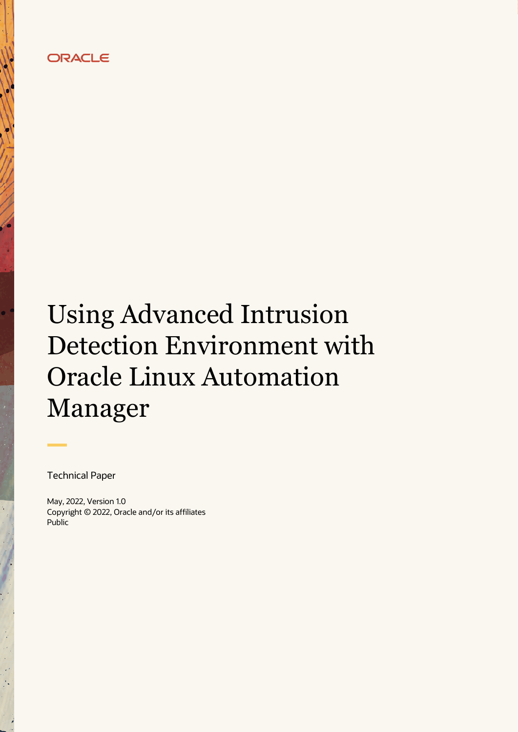## **ORACLE**

# Using Advanced Intrusion Detection Environment with Oracle Linux Automation Manager

Technical Paper

May, 2022, Version 1.0 Copyright © 2022, Oracle and/or its affiliates Public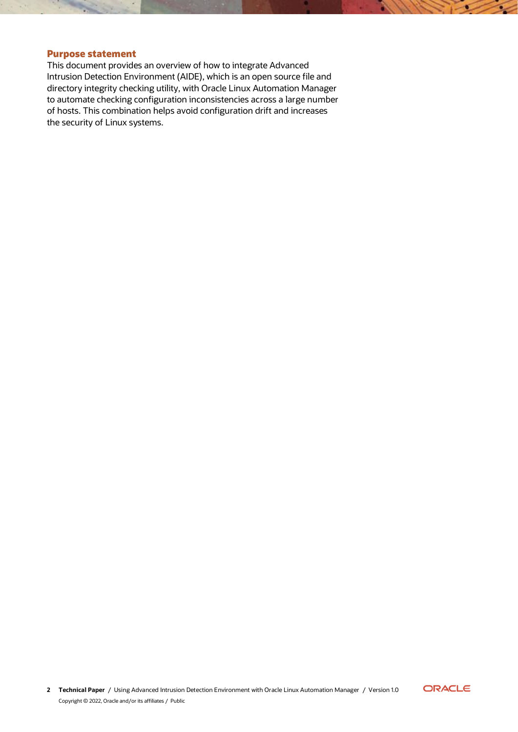#### <span id="page-1-0"></span>**Purpose statement**

This document provides an overview of how to integrate Advanced Intrusion Detection Environment (AIDE), which is an open source file and directory integrity checking utility, with Oracle Linux Automation Manager to automate checking configuration inconsistencies across a large number of hosts. This combination helps avoid configuration drift and increases the security of Linux systems.

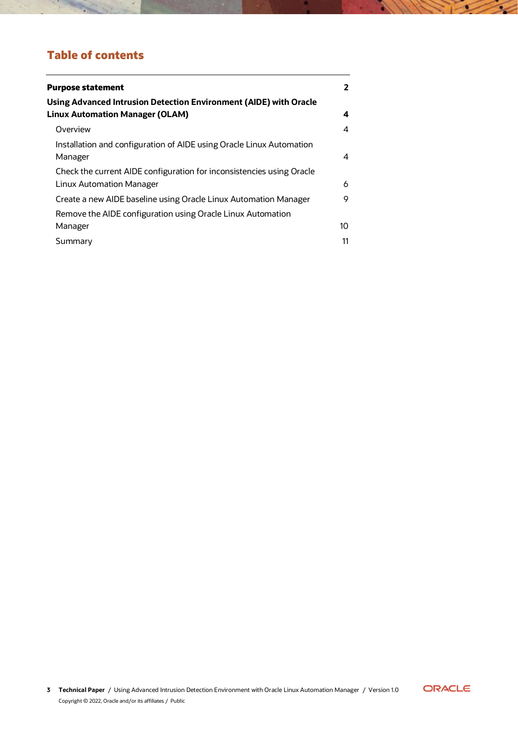# **Table of contents**

| <b>Purpose statement</b>                                                                                    | 2  |
|-------------------------------------------------------------------------------------------------------------|----|
| Using Advanced Intrusion Detection Environment (AIDE) with Oracle<br><b>Linux Automation Manager (OLAM)</b> | 4  |
| Overview                                                                                                    | 4  |
| Installation and configuration of AIDE using Oracle Linux Automation<br>Manager                             | 4  |
| Check the current AIDE configuration for inconsistencies using Oracle<br>Linux Automation Manager           | 6  |
| Create a new AIDE baseline using Oracle Linux Automation Manager                                            | 9  |
| Remove the AIDE configuration using Oracle Linux Automation<br>Manager                                      | 10 |
| Summary                                                                                                     | 11 |



 $\sim$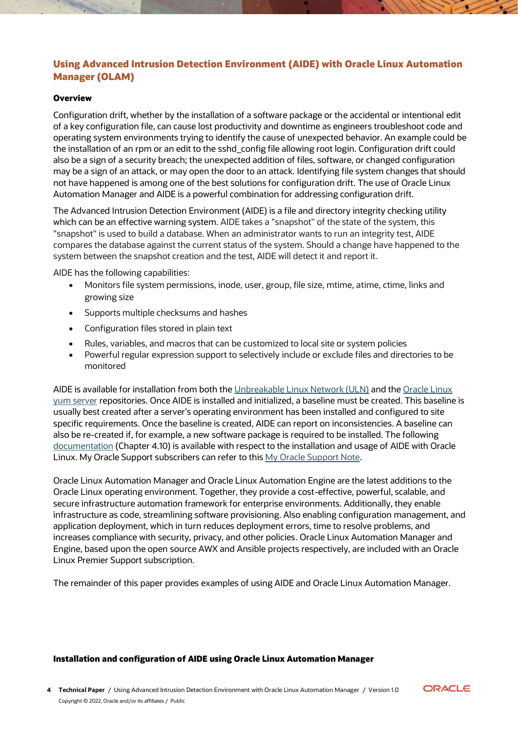### <span id="page-3-0"></span>**Using Advanced Intrusion Detection Environment (AIDE) with Oracle Linux Automation Manager (OLAM)**

#### <span id="page-3-1"></span>**Overview**

Configuration drift, whether by the installation of a software package or the accidental or intentional edit of a key configuration file, can cause lost productivity and downtime as engineers troubleshoot code and operating system environments trying to identify the cause of unexpected behavior. An example could be the installation of an rpm or an edit to the sshd\_config file allowing root login. Configuration drift could also be a sign of a security breach; the unexpected addition of files, software, or changed configuration may be a sign of an attack, or may open the door to an attack. Identifying file system changes that should not have happened is among one of the best solutions for configuration drift. The use of Oracle Linux Automation Manager and AIDE is a powerful combination for addressing configuration drift.

The Advanced Intrusion Detection Environment (AIDE) is a file and directory integrity checking utility which can be an effective warning system. AIDE takes a "snapshot" of the state of the system, this "snapshot" is used to build a database. When an administrator wants to run an integrity test, AIDE compares the database against the current status of the system. Should a change have happened to the system between the snapshot creation and the test, AIDE will detect it and report it.

AIDE has the following capabilities:

- Monitors file system permissions, inode, user, group, file size, mtime, atime, ctime, links and growing size
- Supports multiple checksums and hashes
- Configuration files stored in plain text
- Rules, variables, and macros that can be customized to local site or system policies
- Powerful regular expression support to selectively include or exclude files and directories to be monitored

AIDE is available for installation from both th[e Unbreakable Linux Network \(ULN\)](https://linux.oracle.com/) and the Oracle Linux [yum server](https://yum.oracle.com/) repositories. Once AIDE is installed and initialized, a baseline must be created. This baseline is usually best created after a server's operating environment has been installed and configured to site specific requirements. Once the baseline is created, AIDE can report on inconsistencies. A baseline can also be re-created if, for example, a new software package is required to be installed. The following [documentation](https://docs.oracle.com/en/operating-systems/oracle-linux/8/security/F22907.pdf) (Chapter 4.10) is available with respect to the installation and usage of AIDE with Oracle Linux. My Oracle Support subscribers can refer to this [My Oracle Support Note.](https://support.oracle.com/knowledge/Oracle%20Linux%20and%20Virtualization/2616282_1.html)

Oracle Linux Automation Manager and Oracle Linux Automation Engine are the latest additions to the Oracle Linux operating environment. Together, they provide a cost-effective, powerful, scalable, and secure infrastructure automation framework for enterprise environments. Additionally, they enable infrastructure as code, streamlining software provisioning. Also enabling configuration management, and application deployment, which in turn reduces deployment errors, time to resolve problems, and increases compliance with security, privacy, and other policies. Oracle Linux Automation Manager and Engine, based upon the open source AWX and Ansible projects respectively, are included with an Oracle Linux Premier Support subscription.

The remainder of this paper provides examples of using AIDE and Oracle Linux Automation Manager.

#### <span id="page-3-2"></span>**Installation and configuration of AIDE using Oracle Linux Automation Manager**

**4 Technical Paper** / Using Advanced Intrusion Detection Environment with Oracle Linux Automation Manager / Version 1.0 Copyright © 2022, Oracle and/or its affiliates / Public

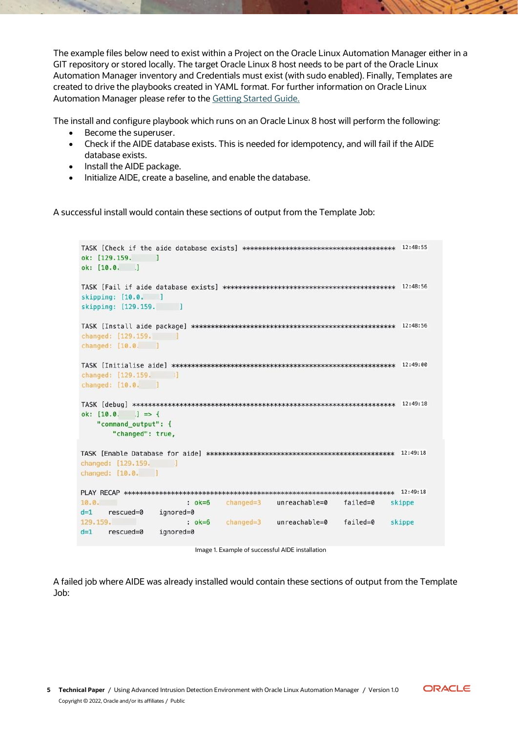The example files below need to exist within a Project on the Oracle Linux Automation Manager either in a GIT repository or stored locally. The target Oracle Linux 8 host needs to be part of the Oracle Linux Automation Manager inventory and Credentials must exist (with sudo enabled). Finally, Templates are created to drive the playbooks created in YAML format. For further information on Oracle Linux Automation Manager please refer to the [Getting Started Guide.](https://docs.oracle.com/en/operating-systems/oracle-linux/8/oracle-linux-automation-manager/)

The install and configure playbook which runs on an Oracle Linux 8 host will perform the following:

- Become the superuser.
- Check if the AIDE database exists. This is needed for idempotency, and will fail if the AIDE database exists.
- Install the AIDE package.
- Initialize AIDE, create a baseline, and enable the database.

A successful install would contain these sections of output from the Template Job:

```
ok: [129.159. ]
ok: [10.0, ]
skipping: [10.0. ]
skipping: [129.159. ]
changed: [129.159.]
changed: [10.0. ]
changed: [129.159. |
changed: [10.0. ]
\text{{\bf TASK }} \text{{\bf [debug]}} \text{ \texttt{****}} \text{--} \text{*}\text{--} \text{*}\text{--} \text{*} \text{--} \text{*} \text{--} \text{*} \text{--} \text{*} \text{--} \text{*} \text{--} \text{*} \text{--} \text{*} \text{--} \text{*} \text{--} \text{*} \text{--} \text{*} \text{--} \text{*} \text{--} \text{*} \text{--} \text{*} \text{--} \text{*} \text{--} \text{*} \text{--} \text{*} \text{--} \text{*} \text{--}ok: [10.0. .] => {
   "command_output": {
      "changed": true,
changed: [129.159. ]
changed: [10.0. ]
10.0.: ok=6 changed=3 unreachable=0
                                                  failed=0
                                                            skippe
d=1 rescued=0 ignored=0
                                                   failed=0
129.159.
                                      unreachable=0
                   : ok=6changed=3skippe
    rescued=0 ignored=0
d=1
```
Image 1. Example of successful AIDE installation

A failed job where AIDE was already installed would contain these sections of output from the Template Job:

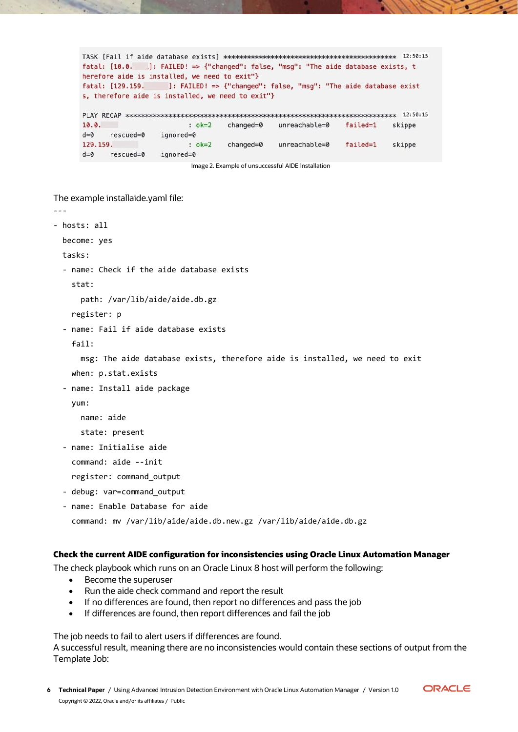```
fatal: [10.0. ]: FAILED! => {"changed": false, "msg": "The aide database exists, t
herefore aide is installed, we need to exit"}
fatal: [129.159. ]: FAILED! => {"changed": false, "msg": "The aide database exist
s, therefore aide is installed, we need to exit"}
10.0.: ok=2changed=0
                                unreachable=0
                                            failed=1
                                                   skippe
d = 0rescued=0 ignored=0
                                           failed=1 skippe
129.159.
                                unreachable=0
                 : ok=2changed=0
d=0 rescued=0 ignored=0
```
Image 2. Example of unsuccessful AIDE installation

The example installaide.yaml file:

---

```
- hosts: all
  become: yes
  tasks:
  - name: Check if the aide database exists
    stat:
      path: /var/lib/aide/aide.db.gz
    register: p
  - name: Fail if aide database exists
    fail:
      msg: The aide database exists, therefore aide is installed, we need to exit
    when: p.stat.exists
  - name: Install aide package
    yum:
      name: aide
      state: present
  - name: Initialise aide
    command: aide --init
    register: command_output
  - debug: var=command_output
  - name: Enable Database for aide
```
#### command: mv /var/lib/aide/aide.db.new.gz /var/lib/aide/aide.db.gz

#### <span id="page-5-0"></span>**Check the current AIDE configuration for inconsistencies using Oracle Linux Automation Manager**

The check playbook which runs on an Oracle Linux 8 host will perform the following:

- Become the superuser
- Run the aide check command and report the result
- If no differences are found, then report no differences and pass the job
- If differences are found, then report differences and fail the job

The job needs to fail to alert users if differences are found.

A successful result, meaning there are no inconsistencies would contain these sections of output from the Template Job:

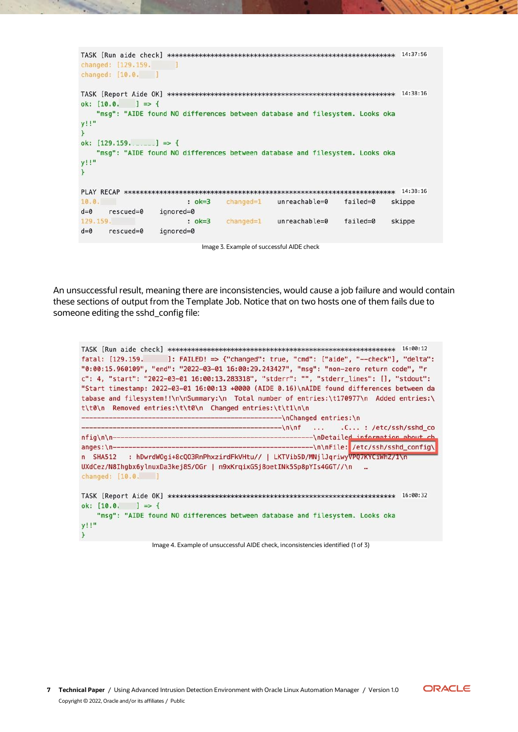| changed: [129.159.]<br>changed: $[10.0.]$ |           |                                                                              |          | 14:37:56 |
|-------------------------------------------|-----------|------------------------------------------------------------------------------|----------|----------|
| ok: $10.0$ , $1 \Rightarrow 1$            |           |                                                                              |          | 14:38:16 |
|                                           |           | "msq": "AIDE found NO differences between database and filesystem. Looks oka |          |          |
| $V^{\dagger}$ !"                          |           |                                                                              |          |          |
| ok: $[129.159. \ldots]$ => {              |           |                                                                              |          |          |
|                                           |           | "msg": "AIDE found NO differences between database and filesystem. Looks oka |          |          |
| y!!"                                      |           |                                                                              |          |          |
|                                           |           |                                                                              |          |          |
|                                           |           |                                                                              |          | 14:38:16 |
| 10.0.                                     | $: ok=3$  | $changed=1$ unreachable=0                                                    | failed=0 | skippe   |
| $d=0$<br>$rescued = 0$                    | ignored=0 |                                                                              |          |          |
| 129.159.                                  | $: ok=3$  | $changed=1$ unreachable=0                                                    | failed=0 | skippe   |
| $d=0$<br>$rescued = 0$                    | ignored=0 |                                                                              |          |          |

Image 3. Example of successful AIDE check

An unsuccessful result, meaning there are inconsistencies, would cause a job failure and would contain these sections of output from the Template Job. Notice that on two hosts one of them fails due to someone editing the sshd\_config file:

```
fatal: [129.159.          ]: FAILED! => {"changed": true, "cmd": ["aide", "--check"], "delta":
"0:00:15.960109", "end": "2022-03-01 16:00:29.243427", "msq": "non-zero return code", "r
c": 4, "start": "2022-03-01 16:00:13.283318", "stderr": "", "stderr lines": [], "stdout":
"Start timestamp: 2022-03-01 16:00:13 +0000 (AIDE 0.16)\nAIDE found differences between da
tabase and filesystem!!\n\nSummary:\n Total number of entries:\t170977\n Added entries:\
t\t0\n Removed entries:\t\t0\n Changed entries:\t\t1\n\n
                                         --\nChanged entries:\n
                                         -\ln\inf...
                                                      .C...: /etc/ssh/sshd co
                                                -- \nDetailed information about ch
nfig\n\n---
                                             -----\n\nFile: /etc/ssh/sshd config\
anges:\n -\nn SHA512 : hDwrdWOgi+8cQO3RnPhxzirdFkVHtu// | LKTVib5D/MNjlJqriwyVPQ7KYCiWhZ/1\n
UXdCez/N8Ihgbx6ylnuxDa3kej8S/OGr | n9xKrqixGSj8oetINk5Sp8pYIs4GGT//\n
changed: [10.0. ]
ok: [10.0. ] => {
   "msg": "AIDE found NO differences between database and filesystem. Looks oka
y!!"
\mathcal{F}
```
Image 4. Example of unsuccessful AIDE check, inconsistencies identified (1 of 3)

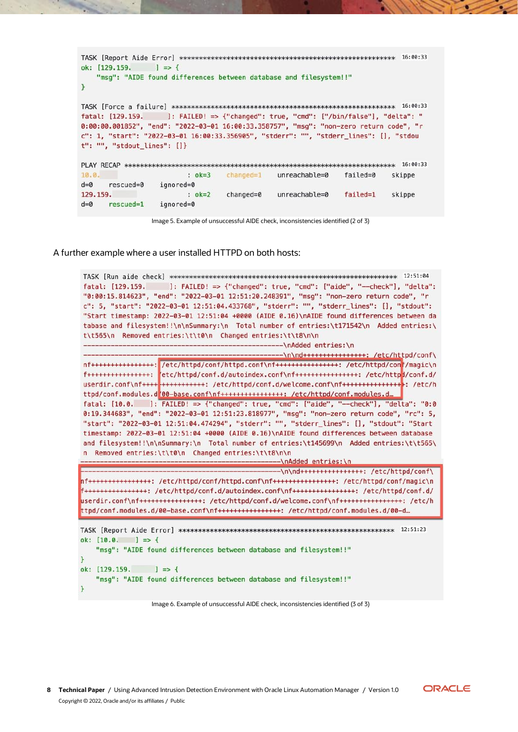```
ok: [129.159.  ] = > { }"msg": "AIDE found differences between database and filesystem!!"
Y
fatal: [129.159. ]: FAILED! => {"changed": true, "cmd": ["/bin/false"], "delta": "
0:00:00.001852", "end": "2022-03-01 16:00:33.358757", "msg": "non-zero return code", "r
c": 1, "start": "2022-03-01 16:00:33.356905", "stderr": "", "stderr_lines": [], "stdou
t": "", "stdout_lines": []}
10.0.: ok=3 changed=1 unreachable=0
                                        failed=0
                                                 skippe
           ignored=0
d=0 rescued=0
129.159.
                : ok=2changed=0
                               unreachable=0
                                          failed=1 skippe
d=0 rescued=1 ignored=0
```
Image 5. Example of unsuccessful AIDE check, inconsistencies identified (2 of 3)

A further example where a user installed HTTPD on both hosts:

```
fatal: [129.159. ]: FAILED! => {"changed": true, "cmd": ["aide", "--check"], "delta":
"0:00:15.814623", "end": "2022-03-01 12:51:20.248391", "msq": "non-zero return code", "r
c": 5, "start": "2022-03-01 12:51:04.433768", "stderr": "", "stderr_lines": [], "stdout":
"Start timestamp: 2022-03-01 12:51:04 +0000 (AIDE 0.16)\nAIDE found differences between da
tabase and filesystem!!\n\nSummary:\n Total number of entries:\t171542\n Added entries:\
t\t565\n Removed entries:\t\t0\n Changed entries:\t\t8\n\n
                                       ----------\nAdded entries:\n
                                        -------\n\nd++++++++++++++++++: /etc/httpd/conf\
nf++++++++++++++++: /etc/httpd/conf/httpd.conf\nf+++++++++++++++++++++ /etc/httpd/con<mark>f/magic\n</mark>
userdir.conf\nf++++ ++++++++++++++ /etc/httpd/conf.d/welcome.conf\nf++++++++++++++++++++++
ttpd/conf.modules.d<mark>'00-base.conf\nf+++++++++++++++++: /etc/httpd/conf.modules.d..</mark>
fatal: [10.0. ]: FAILED! => {"changed": true, "cmd": ["aide", "--check"], "delta": "0:0
0:19.344683", "end": "2022-03-01 12:51:23.818977", "msg": "non-zero return code", "rc": 5,
"start": "2022-03-01 12:51:04.474294", "stderr": "", "stderr_lines": [], "stdout": "Start
timestamp: 2022-03-01 12:51:04 +0000 (AIDE 0.16)\nAIDE found differences between database
and filesystem!!\n\nSummary:\n Total number of entries:\t145699\n Added entries:\t\t565\
n Removed entries:\t\t0\n Changed entries:\t\t8\n\n
                                             -\nAdded entries:\n
                                            -\n\nd++++++++++++++++: /etc/httpd/conf\
nf++++++++++++++++: /etc/httpd/conf/httpd.conf\nf++++++++++++++++++: /etc/httpd/conf/magic\n
f+++++++++++++++: /etc/httpd/conf.d/autoindex.conf\nf+++++++++++++++++++ /etc/httpd/conf.d/
userdir.conf\nf+++++++++++++++++: /etc/httpd/conf.d/welcome.conf\nf++++++++++++++++++: /etc/h
ttpd/conf.modules.d/00-base.conf\nf++++++++++++++++: /etc/httpd/conf.modules.d/00-d...
ok: 10.0. 1 \Rightarrow 1"msg": "AIDE found differences between database and filesystem!!"
\mathbf{L}ok: [129.159.  ] = > { }"msg": "AIDE found differences between database and filesystem!!"
\mathbf{1}
```
Image 6. Example of unsuccessful AIDE check, inconsistencies identified (3 of 3)

ORACLE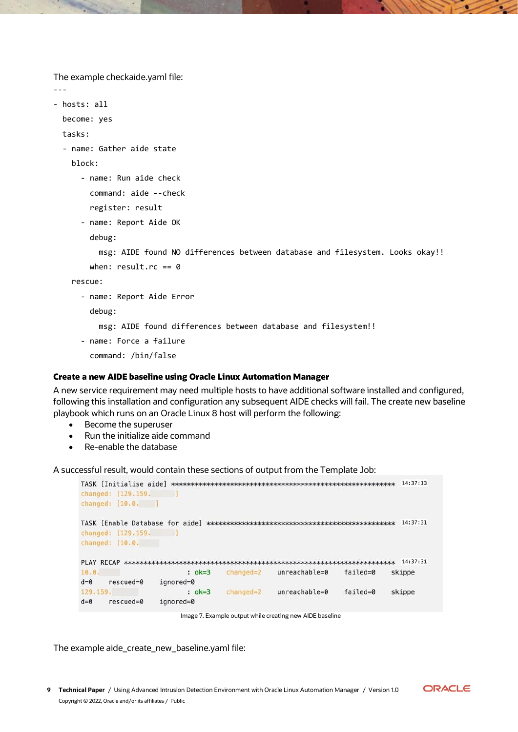The example checkaide.yaml file:

```
---
- hosts: all
  become: yes
  tasks:
  - name: Gather aide state
    block:
       - name: Run aide check
         command: aide --check
         register: result
       - name: Report Aide OK
         debug:
           msg: AIDE found NO differences between database and filesystem. Looks okay!!
        when: result.rc == 0 rescue:
       - name: Report Aide Error
         debug:
           msg: AIDE found differences between database and filesystem!!
       - name: Force a failure
```
command: /bin/false

#### <span id="page-8-0"></span>**Create a new AIDE baseline using Oracle Linux Automation Manager**

A new service requirement may need multiple hosts to have additional software installed and configured, following this installation and configuration any subsequent AIDE checks will fail. The create new baseline playbook which runs on an Oracle Linux 8 host will perform the following:

- Become the superuser
- Run the initialize aide command
- Re-enable the database

A successful result, would contain these sections of output from the Template Job:

| changed: [129.159.     |              |               |                   |          | 14:37:13 |
|------------------------|--------------|---------------|-------------------|----------|----------|
| changed: [10.0. ]      |              |               |                   |          |          |
|                        |              |               |                   |          | 14:37:31 |
| changed: [129.159.     | <b>START</b> |               |                   |          |          |
| changed: $[10.0.]$     |              |               |                   |          |          |
|                        |              |               |                   |          | 14:37:31 |
| 10.0.                  | $: ok=3$     | $chanced = 2$ | $unreachable = 0$ | failed=0 | skippe   |
| $rescued = 0$<br>$d=0$ | ignored=0    |               |                   |          |          |
| 129.159.               | $: ok=3$     | $changed=2$   | $uncachable = 0$  | failed=0 | skippe   |
| $rescued = 0$<br>$d=0$ | ignored=0    |               |                   |          |          |

Image 7. Example output while creating new AIDE baseline

The example aide\_create\_new\_baseline.yaml file:

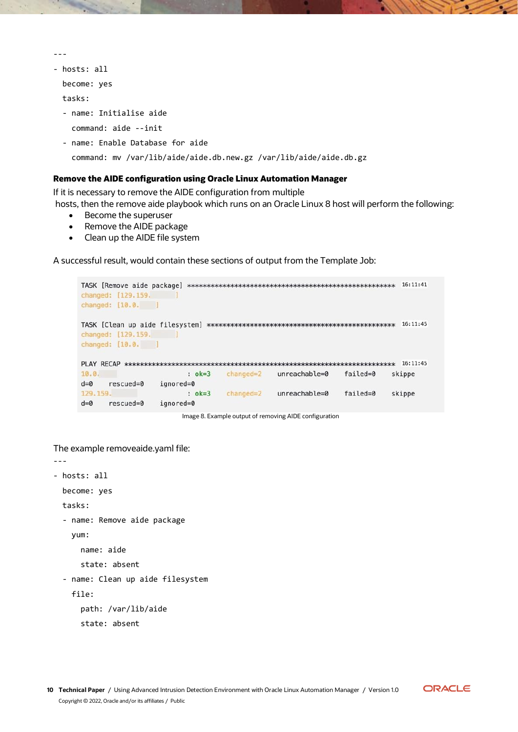```
- hosts: all
```
---

become: yes

tasks:

- name: Initialise aide

command: aide --init

- name: Enable Database for aide

```
 command: mv /var/lib/aide/aide.db.new.gz /var/lib/aide/aide.db.gz
```
#### <span id="page-9-0"></span>**Remove the AIDE configuration using Oracle Linux Automation Manager**

If it is necessary to remove the AIDE configuration from multiple hosts, then the remove aide playbook which runs on an Oracle Linux 8 host will perform the following:

- Become the superuser
	- Remove the AIDE package
	- Clean up the AIDE file system

A successful result, would contain these sections of output from the Template Job:

```
changed: [129.159.
          \blacksquarechanged: [10.0. ]
changed: [129.159.
          \blacksquarechanged: [10.0. ]
10.0.: ok=3 changed=2 unreachable=0
                              failed=0
                                    skippe
d=0 rescued=0 ignored=0
129.159.
            : ok=3 changed=2unreachable=0 failed=0
                                    skippe
d=0 rescued=0
         ignored=0
```
Image 8. Example output of removing AIDE configuration

The example removeaide.yaml file:

---

```
- hosts: all
  become: yes
  tasks:
  - name: Remove aide package
    yum:
       name: aide
       state: absent
  - name: Clean up aide filesystem
    file:
       path: /var/lib/aide
       state: absent
```